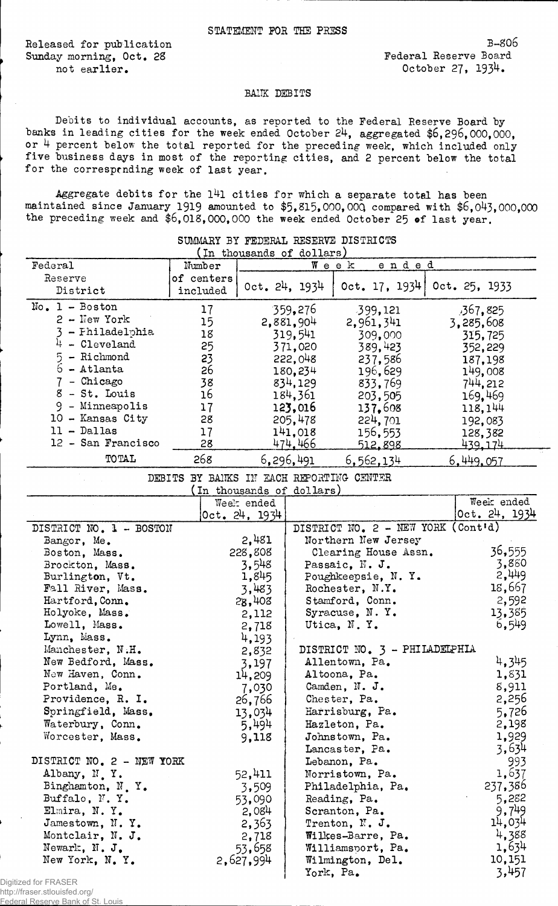Released for publication Sunday morning, Oct. 28 not earlier.

## BANK DEBITS

Debits to individual accounts, as reported to the Federal Reserve Board by banks in leading cities for the week ended October 24, aggregated \$6,296,000,000, or 4 percent below the total reported for the preceding week, which included only five business days in most of the reporting cities, and 2 percent below the total for the corresptnding week of last year.

Aggregate debits for the  $141$  cities for which a separate total has been maintained since January 1919 amounted to \$5,815,000,00Q compared with \$6,043,000,000 the preceding week and \$6,018,000,000 the week ended October 25 of last year.

|                           |                                          |               | In thousands of dollars, |                                    |                |
|---------------------------|------------------------------------------|---------------|--------------------------|------------------------------------|----------------|
| Federal                   | Number                                   |               |                          | ended<br>Week                      |                |
| Reserve                   | of centers                               |               |                          |                                    |                |
| District                  | included                                 | 0ct. 24, 1934 |                          | Oct. 17. 1934                      | 0ct. 25. 1933  |
| $No. 1 - Boston$          |                                          |               |                          |                                    |                |
|                           | 17                                       |               | 359,276                  | 399,121                            | ,367,825       |
| $2$ - New York            | 15                                       |               | 2,881,904                | 2,961,341                          | 3,285,608      |
| 3 - Fhiladelphia          | 18                                       |               | 319,541                  | 309,000                            | 315,725        |
| $4$ - Cleveland           | 25                                       |               | 371,020                  | 389,423                            | 352,229        |
| - Richmond<br>5           | 23                                       |               | 222,048                  | 237,586                            | 187,198        |
| $6$ - Atlanta             | 26                                       |               | 180,234                  | 196,629                            | 149,008        |
| 7 - Chicago               | 38                                       |               | 834,129                  | 833,769                            | 744.212        |
| 8 - St. Louis             | 16                                       |               | 184,361                  | 203,505                            | 169,469        |
| 9 - Minneapolis           | 17                                       |               | 123,016                  | 137,608                            | 118,144        |
| 10 - Kansas City          | 28                                       |               | 205,478                  | 224,701                            | 192,083        |
| $11 - Dallas$             | 17                                       |               | 141,018                  | 156,553                            | 128,382        |
| 12 - San Francisco        | 28                                       |               | 474,466                  | <u>512,898</u>                     | <u>439.174</u> |
| <b>TOTAL</b>              | 268                                      |               |                          |                                    |                |
|                           |                                          |               | 6,296,491                | <u>6,562,134</u>                   | 6,449,057      |
|                           | DEBITS BY BANKS IN EACH REPORTING CENTER |               |                          |                                    |                |
|                           |                                          |               | In thousands of dollars) |                                    |                |
|                           |                                          | Week ended    |                          |                                    | Week ended     |
|                           |                                          | 0ct. 24. 1934 |                          |                                    | 0ct. 24, 1934  |
| DISTRICT NO. 1 - BOSTON   |                                          |               |                          | DISTRICT NO. 2 - NEW YORK (Cont'd) |                |
| Bangor, Me.               |                                          | 2,481         |                          | Northern New Jersey                |                |
| Boston, Mass.             |                                          | 228,808       |                          | Clearing House Assn.               | 36,555         |
| Brockton, Mass.           |                                          | 3,548         |                          | Passaic, N. J.                     | 3,880          |
| Burlington, Vt.           |                                          | 1,845         |                          | Poughkeepsie, N.Y.                 | 2,449          |
| Fall River, Mass.         |                                          | 3,483         |                          | Rochester, N.Y.                    | 18,667         |
| Hartford, Conn.           |                                          | 28,408        |                          | Stamford, Conn.                    | 2,592          |
| Holyoke, Mass.            |                                          | 2,112         |                          | Syracuse, N.Y.                     | 13,385         |
| Lowell, Mass.             |                                          | 2,718         |                          | Utica, N.Y.                        | 6,549          |
| Lynn, Mass.               |                                          | 4,193         |                          |                                    |                |
| Manchester, N.H.          |                                          | 2,832         |                          | DISTRICT NO. 3 - PHILADELPHIA      |                |
| New Bedford, Mass.        |                                          | 3,197         |                          | Allentown, Pa.                     | 4,345          |
| New Haven, Conn.          |                                          | 14,209        |                          | Altoona, Pa.                       | 1,831          |
| Portland, Me.             |                                          | 7,030         |                          | Camden, N. J.                      | 8,911          |
| Providence, R. I.         |                                          | 26,766        |                          | Chester, Pa.                       | 2,256          |
| Springfield, Mass.        |                                          | 13,034        |                          | Harrisburg, Pa.                    | 5,726          |
| Waterbury, Conn.          |                                          | 5,494         |                          | Hazleton, Pa.                      | 2,198          |
| Worcester, Mass.          |                                          | 9,118         |                          | Johnstown, Pa.                     | 1,929          |
|                           |                                          |               |                          | Lancaster, Pa.                     | 3,634          |
| DISTRICT NO. 2 - NEW YORK |                                          |               |                          | Lebanon, Pa.                       | 993            |
| Albany, N.Y.              |                                          | 52,411        |                          | Norristown, Pa.                    | 1,637          |
| Binghamton, N.Y.          | 3,509                                    |               | Philadelphia, Pa.        |                                    | 237,386        |
| Buffalo, N.Y.             | 53,090                                   |               | Reading, Pa.             |                                    | 5,282          |
| Elmira, N.Y.              |                                          | 2,084         |                          | Scranton, Pa.                      | 9,749          |
| Jamestown, N.Y.           |                                          | 2,363         |                          | Trenton, N. J.                     | 14,034         |
| Montclair, N. J.          |                                          | 2,718         |                          | Wilkes-Barre, Pa.                  | 4,388          |
| Newark, N. J.             |                                          | 53,658        |                          | Williamsport, Pa.                  | 1,634          |
| New York, N.Y.            |                                          | 2,627,994     |                          | Wilmington, Del.                   | 10,151         |
|                           |                                          |               |                          | York, Pa.                          | 3,457          |
| ed for FRASER             |                                          |               |                          |                                    |                |

SUMMARY BY FEDERAL RESERVE DISTRICTS

Digitized for I http://fraser.stlouisfed.org/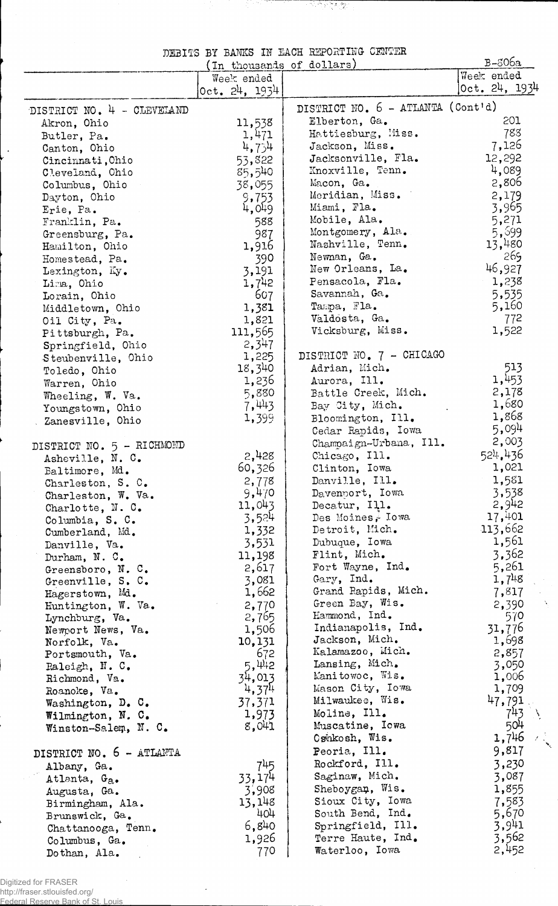|  |  | DEBITS BY BANKS IN EACH REPORTING CENTER |  |
|--|--|------------------------------------------|--|
|  |  |                                          |  |

್ ಕ್ರಿಕ್ಟ್ ಸ್ಟ್ರಾಂಡ್<br>ನಿಧಾನದ ಸ್ಟೇರಿಸಿದ್ದಾರೆ.<br>ನಿಧಾನದ ಸ್ಟೇರಿಸಿದ್ದಾರೆ.

|                            | (In thousands of dollars) |                                   | $B-806a$      |
|----------------------------|---------------------------|-----------------------------------|---------------|
|                            | Week ended                |                                   | Week ended    |
|                            | 0ct. 24, 1934             |                                   | 0ct. 24, 1934 |
|                            |                           |                                   |               |
| DISTRICT NO. 4 - CLEVELAND |                           | DISTRICT NO. 6 - ATLANTA (Cont'd) |               |
| Akron, Ohio                | 11,538                    | Elberton, Ga.                     | 201           |
| Butler, Pa.                | 1,471                     | Hattiesburg, Miss.                | 783           |
| Canton, Ohio               | 4,754                     | Jackson, Miss.                    | 7,126         |
| Cincinnati, Ohio           | 53,822                    | Jacksonville, Fla.                | 12,292        |
| Cleveland, Ohio            | 85,540                    | Knoxville, Tenn.                  | 4,089         |
| Columbus, Ohio             | 38,055                    | Macon, Ga.                        | 2,806         |
| Dayton, Ohio               | 9,753                     | Meridian, Miss.                   | 2,179         |
| Erie, Pa.                  | 4,049                     | Miami, Fla.                       | 3,965         |
| Franklin, Pa.              | 588                       | Mobile, Ala.                      | 5,271         |
| Greensburg, Pa.            | 987                       | Montgomery, Ala.                  | 5,599         |
| Hamilton, Ohio             | 1,916                     | Nashville, Tenn.                  | 13,480        |
| Homestead, Pa.             | 390                       | Newman, Ga.                       | 269           |
| Lexington, Ky.             | 3,191                     | New Orleans, La.                  | 46,927        |
| Lima, Ohio                 | 1,742                     | Pensacola, Fla.                   | 1,238         |
| Lorain, Ohio               | 607                       | Savannah, Ga.                     | 5,535         |
| Middletown, Ohio           | 1,381                     | Tampa, Fla.                       | 5,160         |
| Oil City, Pa.              | 1,821                     | Valdosta, Ga.                     | 772           |
| Pittsburgh, Pa.            | 111,565                   | Vicksburg, Miss.                  | 1,522         |
|                            | 2,347                     |                                   |               |
| Springfield, Ohio          | 1,225                     | DISTRICT NO. 7 - CHICAGO          |               |
| Steubenville, Ohio         | 18,340                    | Adrian, Mich.                     | 513           |
| Toledo, Ohio               | 1,236                     | Aurora, Ill.                      | 1,453         |
| Warren, Ohio               |                           |                                   | 2,178         |
| Wheeling, W. Va.           | 5,880                     | Battle Creek, Mich.               | 1,680         |
| Youngstown, Ohio           | 7,443                     | Bay City, Mich.                   | 1,868         |
| Zanesville, Ohio           | 1,399                     | Bloomington, Ill.                 |               |
|                            |                           | Cedar Rapids, Iowa                | 5,094         |
| DISTRICT NO. 5 - RICHMOND  |                           | Champaign-Urbana, Ill.            | 2,003         |
| Asheville, N. C.           | 2,428                     | Chicago, Ill.                     | 524,436       |
| Baltimore, Md.             | 60,326                    | Clinton, Iowa                     | 1,021         |
| Charleston, S. C.          | 2,778                     | Danville, Ill.                    | 1,581         |
| Charleston, W. Va.         | 9,470                     | Davenport, Iowa                   | 3,538         |
| Charlotte, N. C.           | 11,043                    | Decatur, Ill.                     | 2,942         |
| Columbia, S. C.            | 3,524                     | Des Moines, Iowa                  | 17,401        |
| Cumberland, Md.            | 1,332                     | Detroit, Mich.                    | 113,662       |
| Danville, Va.              | 3,531                     | Dubuque, Iowa                     | 1,561         |
| Durham, N. C.              | 11,198                    | Flint, Mich.                      | 3,362         |
| Greensboro, N. C.          | 2,617                     | Fort Wayne, Ind.                  | 5,261         |
| Greenville, S. C.          | 3,081                     | Gary, Ind.                        | 1,748         |
| Hagerstown, Md.            | 1,662                     | Grand Rapids, Mich.               | 7,817         |
| Huntington, W. Va.         | 2,770                     | Green Bay, Wis.                   | 2,390<br>X    |
| Lynchburg, Va.             | 2,765                     | Hammond, Ind.                     | 570           |
| Newport News, Va.          | 1,506                     | Indianapolis, Ind.                | 31,776        |
| Norfolk, Va.               | 10,131                    | Jackson, Mich.                    | 1,698         |
| Portsmouth, Va.            | 672                       | Kalamazoo, Mich.                  | 2,857         |
| Raleigh, N. C.             | 5,442                     | Lansing, Mich.                    | 3,050         |
| Richmond, Va.              | 34,013                    | Manitowoc, Wis.                   | 1,006         |
| Roanoke, Va.               | 4,374                     | Mason City, Iowa                  | 1,709         |
| Washington, D. C.          | 37,371                    | Milwaukee, Wis.                   | 47,791        |
|                            | 1,973                     | Moline, Ill.                      | 743           |
| Wilmington, N. C.          | 8,041                     | Muscatine, Iowa                   | 504           |
| Winston-Salem, N. C.       |                           | Cshkosh, Wis.                     | 1,746         |
|                            |                           | Peoria, Ill.                      | 9,817         |
| DISTRICT NO. 6 - ATLANTA   |                           |                                   |               |
| Albany, Ga.                | 745                       | Rockford, Ill.                    | 3,230         |
| Atlanta, G <sub>a</sub> .  | 33,174                    | Saginaw, Mich.                    | 3,087         |
| Augusta, Ga.               | 3,908                     | Sheboygan, Wis.                   | 1,855         |
| Birmingham, Ala.           | 13,148                    | Sioux City, Iowa                  | 7,583         |
| Brunswick, Ga.             | 404                       | South Bend, Ind.                  | 5,670         |
| Chattanooga, Tenn.         | 6,840                     | Springfield, Ill.                 | 3,941         |
| Columbus, Ga.              | 1,926                     | Terre Haute, Ind.                 | 3,562         |
| Dothan, Ala.               | 770                       | Waterloo, Iowa                    | 2,452         |

Digitized for FRASER

 $\overline{\phantom{a}}$ 

http://fraser.stlouisfed.org/ Federal Reserve Bank of St. Louis  $\cdot$